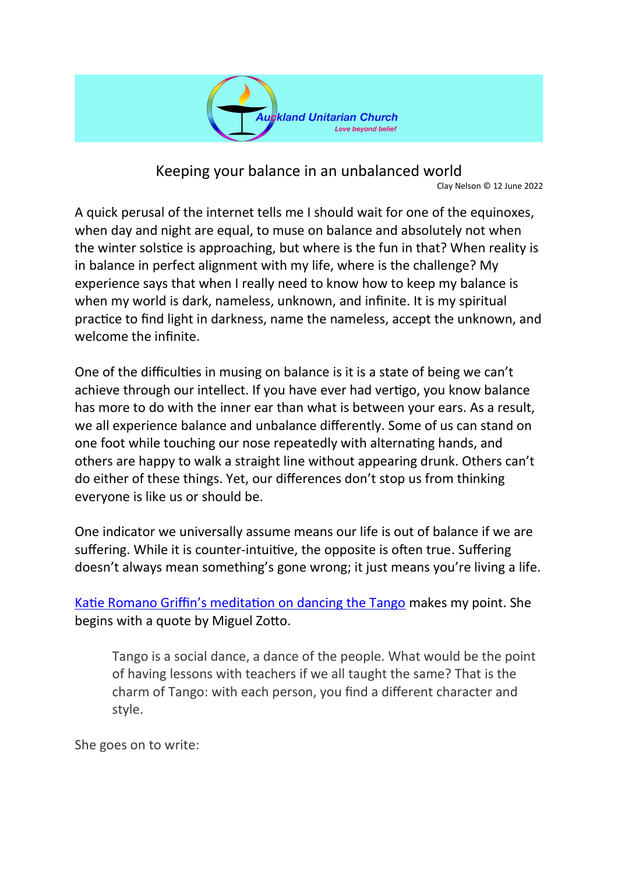

Keeping your balance in an unbalanced world Clay Nelson © 12 June 2022

A quick perusal of the internet tells me I should wait for one of the equinoxes, when day and night are equal, to muse on balance and absolutely not when the winter solstice is approaching, but where is the fun in that? When reality is in balance in perfect alignment with my life, where is the challenge? My experience says that when I really need to know how to keep my balance is when my world is dark, nameless, unknown, and infinite. It is my spiritual practice to find light in darkness, name the nameless, accept the unknown, and welcome the infinite.

One of the difficulties in musing on balance is it is a state of being we can't achieve through our intellect. If you have ever had vertigo, you know balance has more to do with the inner ear than what is between your ears. As a result, we all experience balance and unbalance differently. Some of us can stand on one foot while touching our nose repeatedly with alternating hands, and others are happy to walk a straight line without appearing drunk. Others can't do either of these things. Yet, our differences don't stop us from thinking everyone is like us or should be.

One indicator we universally assume means our life is out of balance if we are suffering. While it is counter-intuitive, the opposite is often true. Suffering doesn't always mean something's gone wrong; it just means you're living a life.

[Katie Romano Griffin's meditation on dancing the Tango](https://www.uua.org/braverwiser/know-when-tango) makes my point. She begins with a quote by Miguel Zotto.

Tango is a social dance, a dance of the people. What would be the point of having lessons with teachers if we all taught the same? That is the charm of Tango: with each person, you find a different character and style.

She goes on to write: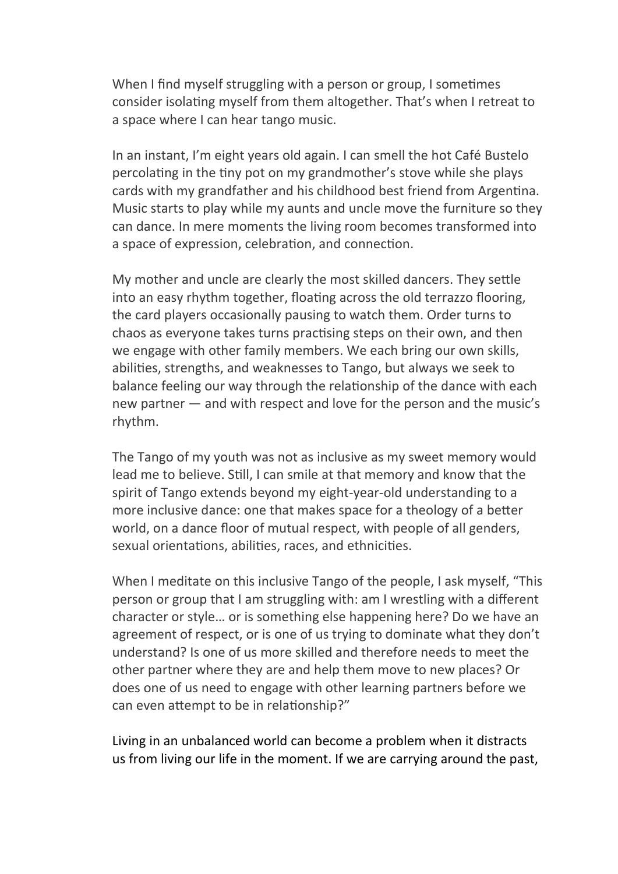When I find myself struggling with a person or group, I sometimes consider isolating myself from them altogether. That's when I retreat to a space where I can hear tango music.

In an instant, I'm eight years old again. I can smell the hot Café Bustelo percolating in the tiny pot on my grandmother's stove while she plays cards with my grandfather and his childhood best friend from Argentina. Music starts to play while my aunts and uncle move the furniture so they can dance. In mere moments the living room becomes transformed into a space of expression, celebration, and connection.

My mother and uncle are clearly the most skilled dancers. They settle into an easy rhythm together, floating across the old terrazzo flooring, the card players occasionally pausing to watch them. Order turns to chaos as everyone takes turns practising steps on their own, and then we engage with other family members. We each bring our own skills, abilities, strengths, and weaknesses to Tango, but always we seek to balance feeling our way through the relationship of the dance with each new partner — and with respect and love for the person and the music's rhythm.

The Tango of my youth was not as inclusive as my sweet memory would lead me to believe. Still, I can smile at that memory and know that the spirit of Tango extends beyond my eight-year-old understanding to a more inclusive dance: one that makes space for a theology of a better world, on a dance floor of mutual respect, with people of all genders, sexual orientations, abilities, races, and ethnicities.

When I meditate on this inclusive Tango of the people, I ask myself, "This person or group that I am struggling with: am I wrestling with a different character or style… or is something else happening here? Do we have an agreement of respect, or is one of us trying to dominate what they don't understand? Is one of us more skilled and therefore needs to meet the other partner where they are and help them move to new places? Or does one of us need to engage with other learning partners before we can even attempt to be in relationship?"

Living in an unbalanced world can become a problem when it distracts us from living our life in the moment. If we are carrying around the past,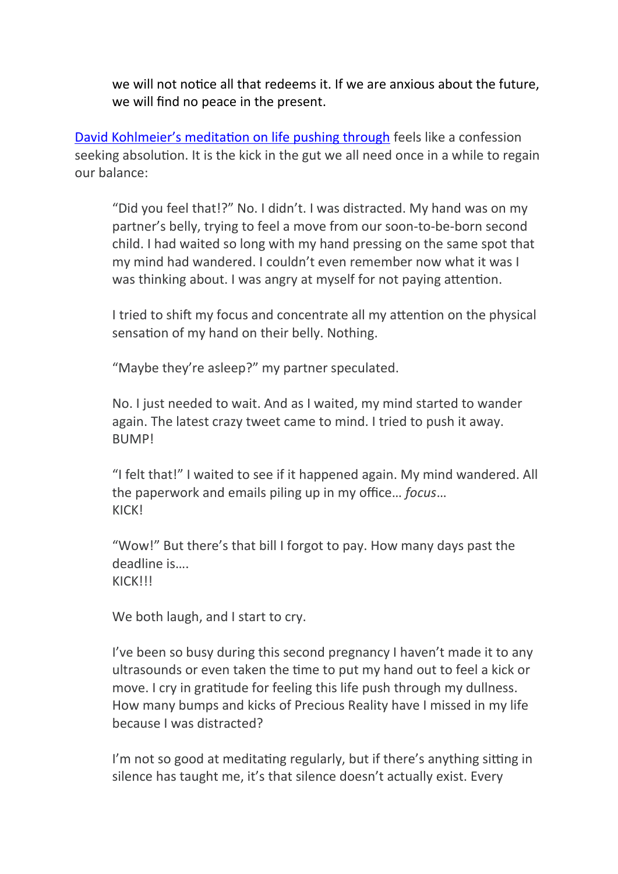we will not notice all that redeems it. If we are anxious about the future, we will find no peace in the present.

[David Kohlmeier's meditation on life pushing through](https://www.uua.org/braverwiser/life-pushing-through) feels like a confession seeking absolution. It is the kick in the gut we all need once in a while to regain our balance:

"Did you feel that!?" No. I didn't. I was distracted. My hand was on my partner's belly, trying to feel a move from our soon-to-be-born second child. I had waited so long with my hand pressing on the same spot that my mind had wandered. I couldn't even remember now what it was I was thinking about. I was angry at myself for not paying attention.

I tried to shift my focus and concentrate all my attention on the physical sensation of my hand on their belly. Nothing.

"Maybe they're asleep?" my partner speculated.

No. I just needed to wait. And as I waited, my mind started to wander again. The latest crazy tweet came to mind. I tried to push it away. **BUMP!** 

"I felt that!" I waited to see if it happened again. My mind wandered. All the paperwork and emails piling up in my office… *focus*… **KICKI** 

"Wow!" But there's that bill I forgot to pay. How many days past the deadline is…. **KICK!!!** 

We both laugh, and I start to cry.

I've been so busy during this second pregnancy I haven't made it to any ultrasounds or even taken the time to put my hand out to feel a kick or move. I cry in gratitude for feeling this life push through my dullness. How many bumps and kicks of Precious Reality have I missed in my life because I was distracted?

I'm not so good at meditating regularly, but if there's anything sitting in silence has taught me, it's that silence doesn't actually exist. Every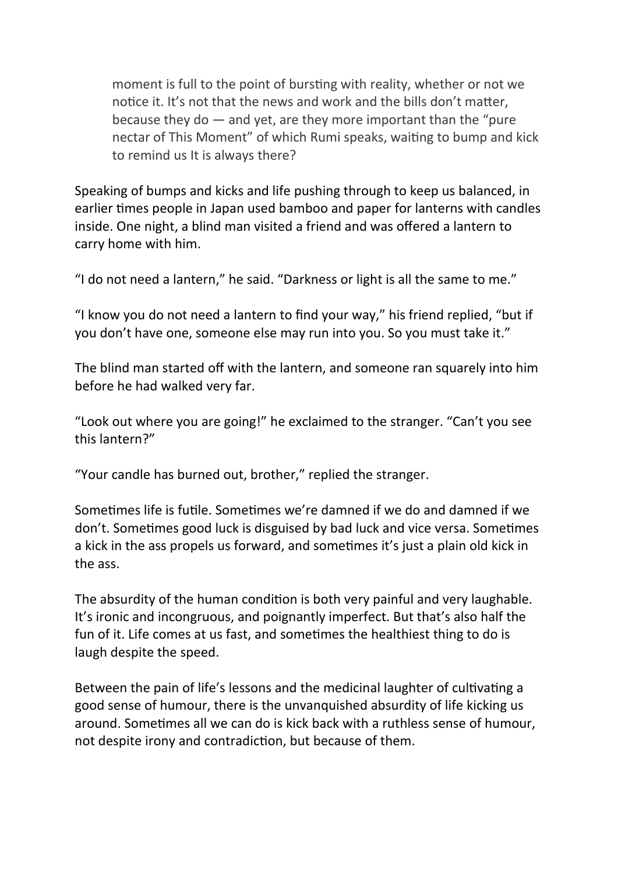moment is full to the point of bursting with reality, whether or not we notice it. It's not that the news and work and the bills don't matter, because they do  $-$  and yet, are they more important than the "pure" nectar of This Moment" of which Rumi speaks, waiting to bump and kick to remind us It is always there?

Speaking of bumps and kicks and life pushing through to keep us balanced, in earlier times people in Japan used bamboo and paper for lanterns with candles inside. One night, a blind man visited a friend and was offered a lantern to carry home with him.

"I do not need a lantern," he said. "Darkness or light is all the same to me."

"I know you do not need a lantern to find your way," his friend replied, "but if you don't have one, someone else may run into you. So you must take it."

The blind man started off with the lantern, and someone ran squarely into him before he had walked very far.

"Look out where you are going!" he exclaimed to the stranger. "Can't you see this lantern?"

"Your candle has burned out, brother," replied the stranger.

Sometimes life is futile. Sometimes we're damned if we do and damned if we don't. Sometimes good luck is disguised by bad luck and vice versa. Sometimes a kick in the ass propels us forward, and sometimes it's just a plain old kick in the ass.

The absurdity of the human condition is both very painful and very laughable. It's ironic and incongruous, and poignantly imperfect. But that's also half the fun of it. Life comes at us fast, and sometimes the healthiest thing to do is laugh despite the speed.

Between the pain of life's lessons and the medicinal laughter of cultivating a good sense of humour, there is the unvanquished absurdity of life kicking us around. Sometimes all we can do is kick back with a ruthless sense of humour, not despite irony and contradiction, but because of them.